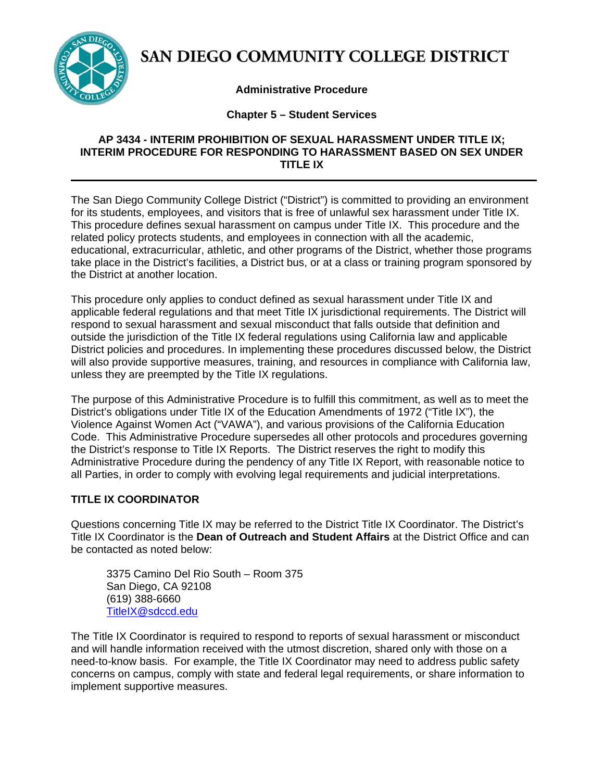

# SAN DIEGO COMMUNITY COLLEGE DISTRICT

# **Administrative Procedure**

# **Chapter 5 – Student Services**

# **AP 3434 - INTERIM PROHIBITION OF SEXUAL HARASSMENT UNDER TITLE IX; INTERIM PROCEDURE FOR RESPONDING TO HARASSMENT BASED ON SEX UNDER TITLE IX**

The San Diego Community College District ("District") is committed to providing an environment for its students, employees, and visitors that is free of unlawful sex harassment under Title IX. This procedure defines sexual harassment on campus under Title IX. This procedure and the related policy protects students, and employees in connection with all the academic, educational, extracurricular, athletic, and other programs of the District, whether those programs take place in the District's facilities, a District bus, or at a class or training program sponsored by the District at another location.

This procedure only applies to conduct defined as sexual harassment under Title IX and applicable federal regulations and that meet Title IX jurisdictional requirements. The District will respond to sexual harassment and sexual misconduct that falls outside that definition and outside the jurisdiction of the Title IX federal regulations using California law and applicable District policies and procedures. In implementing these procedures discussed below, the District will also provide supportive measures, training, and resources in compliance with California law, unless they are preempted by the Title IX regulations.

The purpose of this Administrative Procedure is to fulfill this commitment, as well as to meet the District's obligations under Title IX of the Education Amendments of 1972 ("Title IX"), the Violence Against Women Act ("VAWA"), and various provisions of the California Education Code. This Administrative Procedure supersedes all other protocols and procedures governing the District's response to Title IX Reports. The District reserves the right to modify this Administrative Procedure during the pendency of any Title IX Report, with reasonable notice to all Parties, in order to comply with evolving legal requirements and judicial interpretations.

# **TITLE IX COORDINATOR**

Questions concerning Title IX may be referred to the District Title IX Coordinator. The District's Title IX Coordinator is the **Dean of Outreach and Student Affairs** at the District Office and can be contacted as noted below:

3375 Camino Del Rio South – Room 375 San Diego, CA 92108 (619) 388-6660 TitleIX@sdccd.edu

The Title IX Coordinator is required to respond to reports of sexual harassment or misconduct and will handle information received with the utmost discretion, shared only with those on a need-to-know basis. For example, the Title IX Coordinator may need to address public safety concerns on campus, comply with state and federal legal requirements, or share information to implement supportive measures.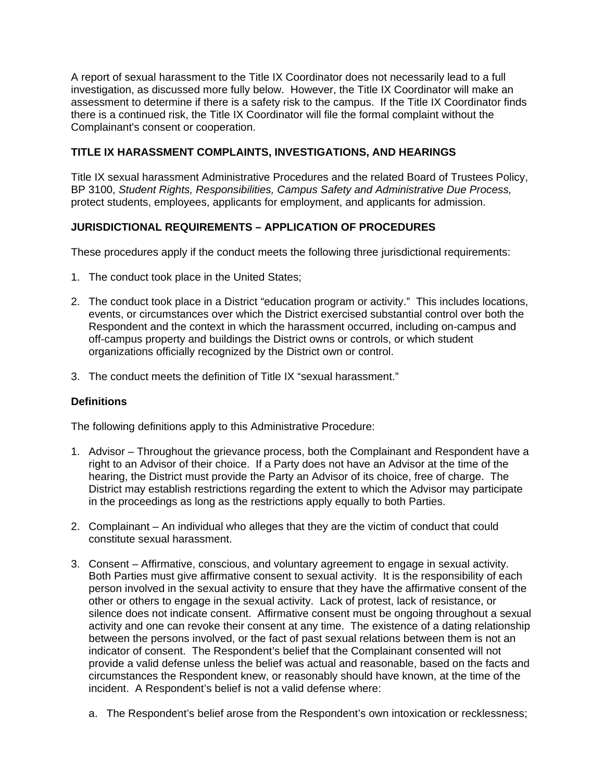A report of sexual harassment to the Title IX Coordinator does not necessarily lead to a full investigation, as discussed more fully below. However, the Title IX Coordinator will make an assessment to determine if there is a safety risk to the campus. If the Title IX Coordinator finds there is a continued risk, the Title IX Coordinator will file the formal complaint without the Complainant's consent or cooperation.

# **TITLE IX HARASSMENT COMPLAINTS, INVESTIGATIONS, AND HEARINGS**

Title IX sexual harassment Administrative Procedures and the related Board of Trustees Policy, BP 3100, *Student Rights, Responsibilities, Campus Safety and Administrative Due Process,*  protect students, employees, applicants for employment, and applicants for admission.

# **JURISDICTIONAL REQUIREMENTS – APPLICATION OF PROCEDURES**

These procedures apply if the conduct meets the following three jurisdictional requirements:

- 1. The conduct took place in the United States;
- 2. The conduct took place in a District "education program or activity." This includes locations, events, or circumstances over which the District exercised substantial control over both the Respondent and the context in which the harassment occurred, including on-campus and off-campus property and buildings the District owns or controls, or which student organizations officially recognized by the District own or control.
- 3. The conduct meets the definition of Title IX "sexual harassment."

## **Definitions**

The following definitions apply to this Administrative Procedure:

- 1. Advisor Throughout the grievance process, both the Complainant and Respondent have a right to an Advisor of their choice. If a Party does not have an Advisor at the time of the hearing, the District must provide the Party an Advisor of its choice, free of charge. The District may establish restrictions regarding the extent to which the Advisor may participate in the proceedings as long as the restrictions apply equally to both Parties.
- 2. Complainant An individual who alleges that they are the victim of conduct that could constitute sexual harassment.
- 3. Consent Affirmative, conscious, and voluntary agreement to engage in sexual activity. Both Parties must give affirmative consent to sexual activity. It is the responsibility of each person involved in the sexual activity to ensure that they have the affirmative consent of the other or others to engage in the sexual activity. Lack of protest, lack of resistance, or silence does not indicate consent. Affirmative consent must be ongoing throughout a sexual activity and one can revoke their consent at any time. The existence of a dating relationship between the persons involved, or the fact of past sexual relations between them is not an indicator of consent. The Respondent's belief that the Complainant consented will not provide a valid defense unless the belief was actual and reasonable, based on the facts and circumstances the Respondent knew, or reasonably should have known, at the time of the incident. A Respondent's belief is not a valid defense where:
	- a. The Respondent's belief arose from the Respondent's own intoxication or recklessness;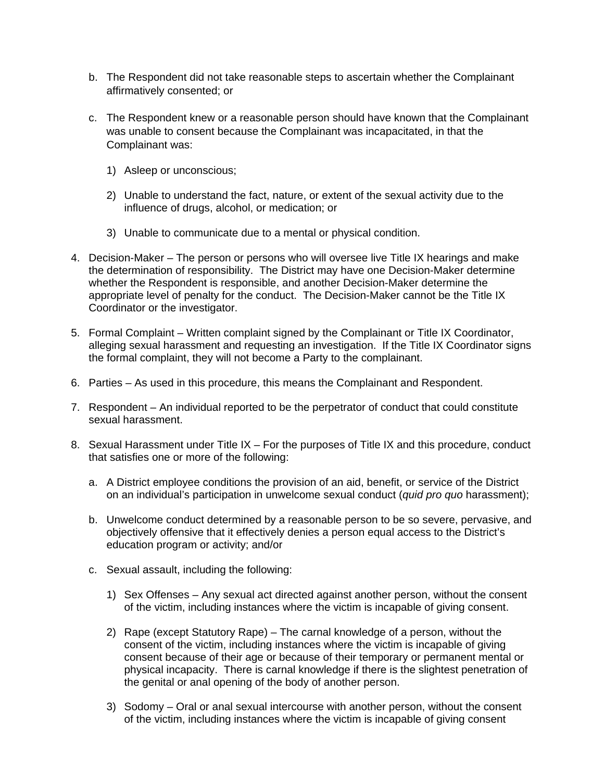- b. The Respondent did not take reasonable steps to ascertain whether the Complainant affirmatively consented; or
- c. The Respondent knew or a reasonable person should have known that the Complainant was unable to consent because the Complainant was incapacitated, in that the Complainant was:
	- 1) Asleep or unconscious;
	- 2) Unable to understand the fact, nature, or extent of the sexual activity due to the influence of drugs, alcohol, or medication; or
	- 3) Unable to communicate due to a mental or physical condition.
- 4. Decision-Maker The person or persons who will oversee live Title IX hearings and make the determination of responsibility. The District may have one Decision-Maker determine whether the Respondent is responsible, and another Decision-Maker determine the appropriate level of penalty for the conduct. The Decision-Maker cannot be the Title IX Coordinator or the investigator.
- 5. Formal Complaint Written complaint signed by the Complainant or Title IX Coordinator, alleging sexual harassment and requesting an investigation. If the Title IX Coordinator signs the formal complaint, they will not become a Party to the complainant.
- 6. Parties As used in this procedure, this means the Complainant and Respondent.
- 7. Respondent An individual reported to be the perpetrator of conduct that could constitute sexual harassment.
- 8. Sexual Harassment under Title IX For the purposes of Title IX and this procedure, conduct that satisfies one or more of the following:
	- a. A District employee conditions the provision of an aid, benefit, or service of the District on an individual's participation in unwelcome sexual conduct (*quid pro quo* harassment);
	- b. Unwelcome conduct determined by a reasonable person to be so severe, pervasive, and objectively offensive that it effectively denies a person equal access to the District's education program or activity; and/or
	- c. Sexual assault, including the following:
		- 1) Sex Offenses Any sexual act directed against another person, without the consent of the victim, including instances where the victim is incapable of giving consent.
		- 2) Rape (except Statutory Rape) The carnal knowledge of a person, without the consent of the victim, including instances where the victim is incapable of giving consent because of their age or because of their temporary or permanent mental or physical incapacity. There is carnal knowledge if there is the slightest penetration of the genital or anal opening of the body of another person.
		- 3) Sodomy Oral or anal sexual intercourse with another person, without the consent of the victim, including instances where the victim is incapable of giving consent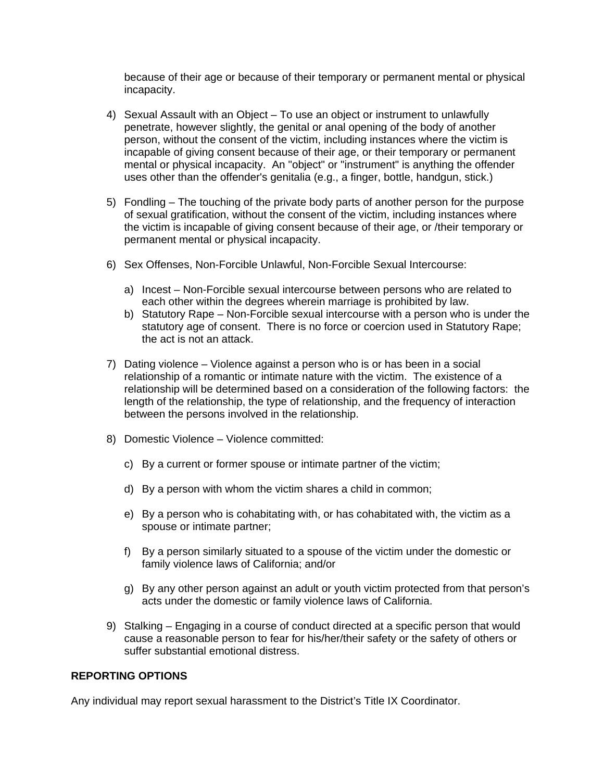because of their age or because of their temporary or permanent mental or physical incapacity.

- 4) Sexual Assault with an Object To use an object or instrument to unlawfully penetrate, however slightly, the genital or anal opening of the body of another person, without the consent of the victim, including instances where the victim is incapable of giving consent because of their age, or their temporary or permanent mental or physical incapacity. An "object" or "instrument" is anything the offender uses other than the offender's genitalia (e.g., a finger, bottle, handgun, stick.)
- 5) Fondling The touching of the private body parts of another person for the purpose of sexual gratification, without the consent of the victim, including instances where the victim is incapable of giving consent because of their age, or /their temporary or permanent mental or physical incapacity.
- 6) Sex Offenses, Non-Forcible Unlawful, Non-Forcible Sexual Intercourse:
	- a) Incest Non-Forcible sexual intercourse between persons who are related to each other within the degrees wherein marriage is prohibited by law.
	- b) Statutory Rape Non-Forcible sexual intercourse with a person who is under the statutory age of consent. There is no force or coercion used in Statutory Rape; the act is not an attack.
- 7) Dating violence Violence against a person who is or has been in a social relationship of a romantic or intimate nature with the victim. The existence of a relationship will be determined based on a consideration of the following factors: the length of the relationship, the type of relationship, and the frequency of interaction between the persons involved in the relationship.
- 8) Domestic Violence Violence committed:
	- c) By a current or former spouse or intimate partner of the victim;
	- d) By a person with whom the victim shares a child in common;
	- e) By a person who is cohabitating with, or has cohabitated with, the victim as a spouse or intimate partner;
	- f) By a person similarly situated to a spouse of the victim under the domestic or family violence laws of California; and/or
	- g) By any other person against an adult or youth victim protected from that person's acts under the domestic or family violence laws of California.
- 9) Stalking Engaging in a course of conduct directed at a specific person that would cause a reasonable person to fear for his/her/their safety or the safety of others or suffer substantial emotional distress.

#### **REPORTING OPTIONS**

Any individual may report sexual harassment to the District's Title IX Coordinator.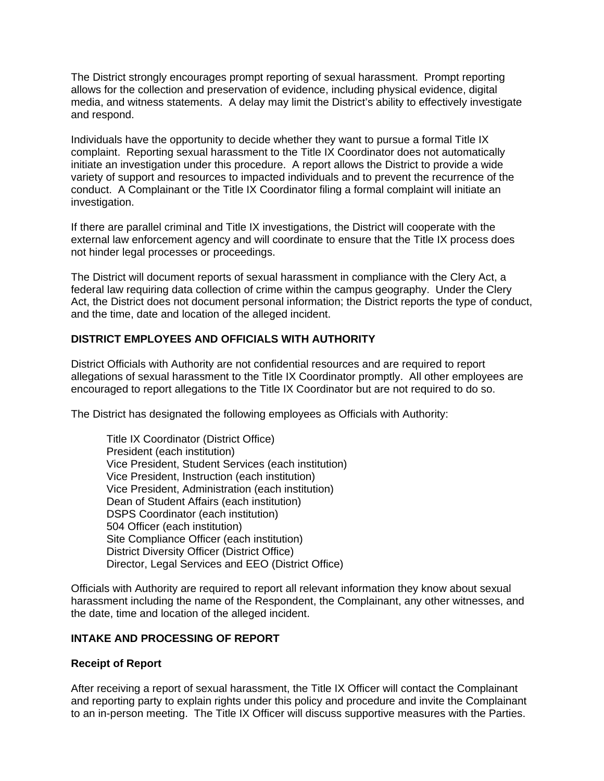The District strongly encourages prompt reporting of sexual harassment. Prompt reporting allows for the collection and preservation of evidence, including physical evidence, digital media, and witness statements. A delay may limit the District's ability to effectively investigate and respond.

Individuals have the opportunity to decide whether they want to pursue a formal Title IX complaint. Reporting sexual harassment to the Title IX Coordinator does not automatically initiate an investigation under this procedure. A report allows the District to provide a wide variety of support and resources to impacted individuals and to prevent the recurrence of the conduct. A Complainant or the Title IX Coordinator filing a formal complaint will initiate an investigation.

If there are parallel criminal and Title IX investigations, the District will cooperate with the external law enforcement agency and will coordinate to ensure that the Title IX process does not hinder legal processes or proceedings.

The District will document reports of sexual harassment in compliance with the Clery Act, a federal law requiring data collection of crime within the campus geography. Under the Clery Act, the District does not document personal information; the District reports the type of conduct, and the time, date and location of the alleged incident.

# **DISTRICT EMPLOYEES AND OFFICIALS WITH AUTHORITY**

District Officials with Authority are not confidential resources and are required to report allegations of sexual harassment to the Title IX Coordinator promptly. All other employees are encouraged to report allegations to the Title IX Coordinator but are not required to do so.

The District has designated the following employees as Officials with Authority:

Title IX Coordinator (District Office) President (each institution) Vice President, Student Services (each institution) Vice President, Instruction (each institution) Vice President, Administration (each institution) Dean of Student Affairs (each institution) DSPS Coordinator (each institution) 504 Officer (each institution) Site Compliance Officer (each institution) District Diversity Officer (District Office) Director, Legal Services and EEO (District Office)

Officials with Authority are required to report all relevant information they know about sexual harassment including the name of the Respondent, the Complainant, any other witnesses, and the date, time and location of the alleged incident.

#### **INTAKE AND PROCESSING OF REPORT**

#### **Receipt of Report**

After receiving a report of sexual harassment, the Title IX Officer will contact the Complainant and reporting party to explain rights under this policy and procedure and invite the Complainant to an in-person meeting. The Title IX Officer will discuss supportive measures with the Parties.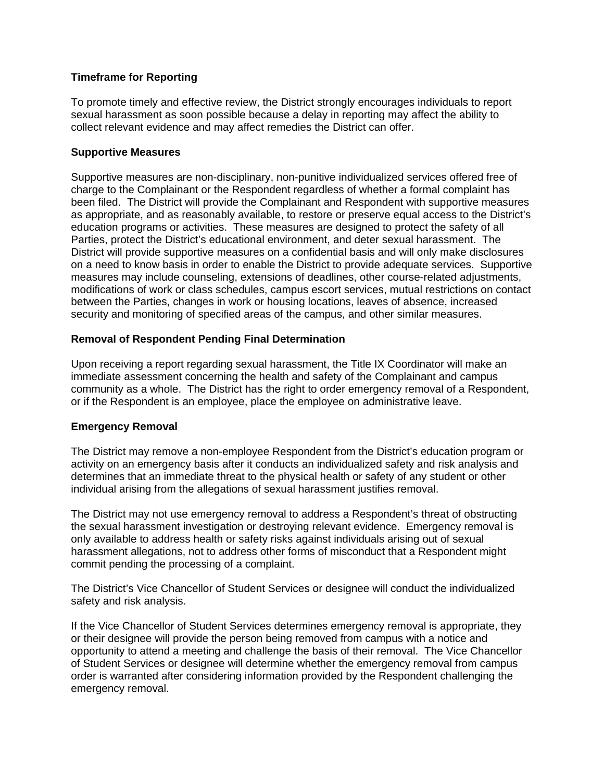# **Timeframe for Reporting**

To promote timely and effective review, the District strongly encourages individuals to report sexual harassment as soon possible because a delay in reporting may affect the ability to collect relevant evidence and may affect remedies the District can offer.

## **Supportive Measures**

Supportive measures are non-disciplinary, non-punitive individualized services offered free of charge to the Complainant or the Respondent regardless of whether a formal complaint has been filed. The District will provide the Complainant and Respondent with supportive measures as appropriate, and as reasonably available, to restore or preserve equal access to the District's education programs or activities. These measures are designed to protect the safety of all Parties, protect the District's educational environment, and deter sexual harassment. The District will provide supportive measures on a confidential basis and will only make disclosures on a need to know basis in order to enable the District to provide adequate services. Supportive measures may include counseling, extensions of deadlines, other course-related adjustments, modifications of work or class schedules, campus escort services, mutual restrictions on contact between the Parties, changes in work or housing locations, leaves of absence, increased security and monitoring of specified areas of the campus, and other similar measures.

## **Removal of Respondent Pending Final Determination**

Upon receiving a report regarding sexual harassment, the Title IX Coordinator will make an immediate assessment concerning the health and safety of the Complainant and campus community as a whole. The District has the right to order emergency removal of a Respondent, or if the Respondent is an employee, place the employee on administrative leave.

## **Emergency Removal**

The District may remove a non-employee Respondent from the District's education program or activity on an emergency basis after it conducts an individualized safety and risk analysis and determines that an immediate threat to the physical health or safety of any student or other individual arising from the allegations of sexual harassment justifies removal.

The District may not use emergency removal to address a Respondent's threat of obstructing the sexual harassment investigation or destroying relevant evidence. Emergency removal is only available to address health or safety risks against individuals arising out of sexual harassment allegations, not to address other forms of misconduct that a Respondent might commit pending the processing of a complaint.

The District's Vice Chancellor of Student Services or designee will conduct the individualized safety and risk analysis.

If the Vice Chancellor of Student Services determines emergency removal is appropriate, they or their designee will provide the person being removed from campus with a notice and opportunity to attend a meeting and challenge the basis of their removal. The Vice Chancellor of Student Services or designee will determine whether the emergency removal from campus order is warranted after considering information provided by the Respondent challenging the emergency removal.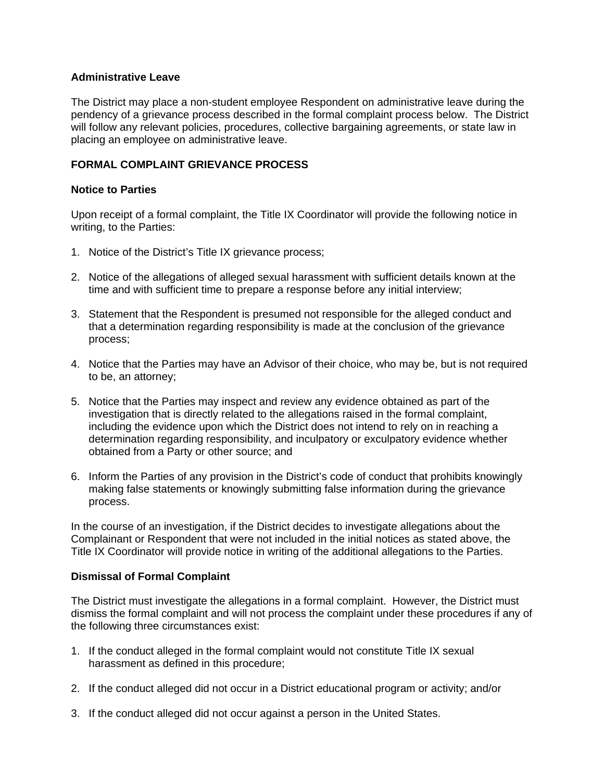### **Administrative Leave**

The District may place a non-student employee Respondent on administrative leave during the pendency of a grievance process described in the formal complaint process below. The District will follow any relevant policies, procedures, collective bargaining agreements, or state law in placing an employee on administrative leave.

## **FORMAL COMPLAINT GRIEVANCE PROCESS**

### **Notice to Parties**

Upon receipt of a formal complaint, the Title IX Coordinator will provide the following notice in writing, to the Parties:

- 1. Notice of the District's Title IX grievance process;
- 2. Notice of the allegations of alleged sexual harassment with sufficient details known at the time and with sufficient time to prepare a response before any initial interview;
- 3. Statement that the Respondent is presumed not responsible for the alleged conduct and that a determination regarding responsibility is made at the conclusion of the grievance process;
- 4. Notice that the Parties may have an Advisor of their choice, who may be, but is not required to be, an attorney;
- 5. Notice that the Parties may inspect and review any evidence obtained as part of the investigation that is directly related to the allegations raised in the formal complaint, including the evidence upon which the District does not intend to rely on in reaching a determination regarding responsibility, and inculpatory or exculpatory evidence whether obtained from a Party or other source; and
- 6. Inform the Parties of any provision in the District's code of conduct that prohibits knowingly making false statements or knowingly submitting false information during the grievance process.

In the course of an investigation, if the District decides to investigate allegations about the Complainant or Respondent that were not included in the initial notices as stated above, the Title IX Coordinator will provide notice in writing of the additional allegations to the Parties.

#### **Dismissal of Formal Complaint**

The District must investigate the allegations in a formal complaint. However, the District must dismiss the formal complaint and will not process the complaint under these procedures if any of the following three circumstances exist:

- 1. If the conduct alleged in the formal complaint would not constitute Title IX sexual harassment as defined in this procedure;
- 2. If the conduct alleged did not occur in a District educational program or activity; and/or
- 3. If the conduct alleged did not occur against a person in the United States.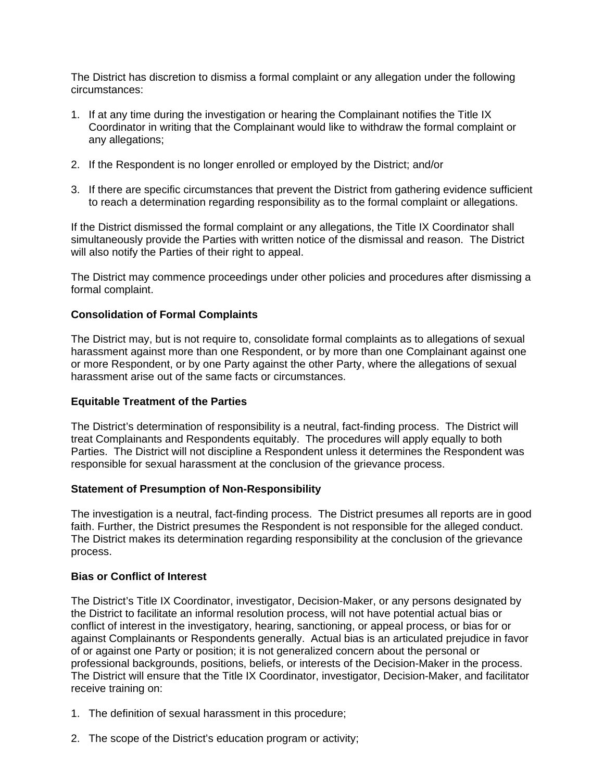The District has discretion to dismiss a formal complaint or any allegation under the following circumstances:

- 1. If at any time during the investigation or hearing the Complainant notifies the Title IX Coordinator in writing that the Complainant would like to withdraw the formal complaint or any allegations;
- 2. If the Respondent is no longer enrolled or employed by the District; and/or
- 3. If there are specific circumstances that prevent the District from gathering evidence sufficient to reach a determination regarding responsibility as to the formal complaint or allegations.

If the District dismissed the formal complaint or any allegations, the Title IX Coordinator shall simultaneously provide the Parties with written notice of the dismissal and reason. The District will also notify the Parties of their right to appeal.

The District may commence proceedings under other policies and procedures after dismissing a formal complaint.

### **Consolidation of Formal Complaints**

The District may, but is not require to, consolidate formal complaints as to allegations of sexual harassment against more than one Respondent, or by more than one Complainant against one or more Respondent, or by one Party against the other Party, where the allegations of sexual harassment arise out of the same facts or circumstances.

#### **Equitable Treatment of the Parties**

The District's determination of responsibility is a neutral, fact-finding process. The District will treat Complainants and Respondents equitably. The procedures will apply equally to both Parties. The District will not discipline a Respondent unless it determines the Respondent was responsible for sexual harassment at the conclusion of the grievance process.

#### **Statement of Presumption of Non-Responsibility**

The investigation is a neutral, fact-finding process. The District presumes all reports are in good faith. Further, the District presumes the Respondent is not responsible for the alleged conduct. The District makes its determination regarding responsibility at the conclusion of the grievance process.

#### **Bias or Conflict of Interest**

The District's Title IX Coordinator, investigator, Decision-Maker, or any persons designated by the District to facilitate an informal resolution process, will not have potential actual bias or conflict of interest in the investigatory, hearing, sanctioning, or appeal process, or bias for or against Complainants or Respondents generally. Actual bias is an articulated prejudice in favor of or against one Party or position; it is not generalized concern about the personal or professional backgrounds, positions, beliefs, or interests of the Decision-Maker in the process. The District will ensure that the Title IX Coordinator, investigator, Decision-Maker, and facilitator receive training on:

- 1. The definition of sexual harassment in this procedure;
- 2. The scope of the District's education program or activity;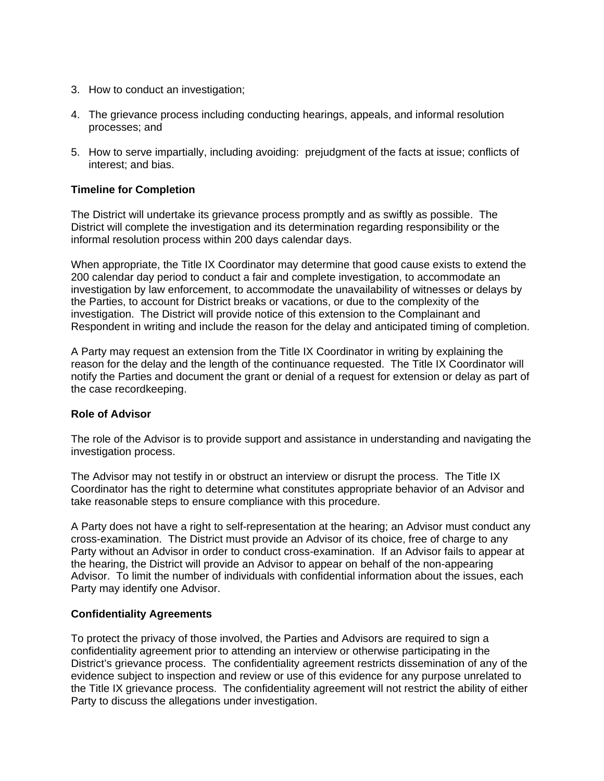- 3. How to conduct an investigation;
- 4. The grievance process including conducting hearings, appeals, and informal resolution processes; and
- 5. How to serve impartially, including avoiding: prejudgment of the facts at issue; conflicts of interest; and bias.

## **Timeline for Completion**

The District will undertake its grievance process promptly and as swiftly as possible. The District will complete the investigation and its determination regarding responsibility or the informal resolution process within 200 days calendar days.

When appropriate, the Title IX Coordinator may determine that good cause exists to extend the 200 calendar day period to conduct a fair and complete investigation, to accommodate an investigation by law enforcement, to accommodate the unavailability of witnesses or delays by the Parties, to account for District breaks or vacations, or due to the complexity of the investigation. The District will provide notice of this extension to the Complainant and Respondent in writing and include the reason for the delay and anticipated timing of completion.

A Party may request an extension from the Title IX Coordinator in writing by explaining the reason for the delay and the length of the continuance requested. The Title IX Coordinator will notify the Parties and document the grant or denial of a request for extension or delay as part of the case recordkeeping.

#### **Role of Advisor**

The role of the Advisor is to provide support and assistance in understanding and navigating the investigation process.

The Advisor may not testify in or obstruct an interview or disrupt the process. The Title IX Coordinator has the right to determine what constitutes appropriate behavior of an Advisor and take reasonable steps to ensure compliance with this procedure.

A Party does not have a right to self-representation at the hearing; an Advisor must conduct any cross-examination. The District must provide an Advisor of its choice, free of charge to any Party without an Advisor in order to conduct cross-examination. If an Advisor fails to appear at the hearing, the District will provide an Advisor to appear on behalf of the non-appearing Advisor. To limit the number of individuals with confidential information about the issues, each Party may identify one Advisor.

#### **Confidentiality Agreements**

To protect the privacy of those involved, the Parties and Advisors are required to sign a confidentiality agreement prior to attending an interview or otherwise participating in the District's grievance process. The confidentiality agreement restricts dissemination of any of the evidence subject to inspection and review or use of this evidence for any purpose unrelated to the Title IX grievance process. The confidentiality agreement will not restrict the ability of either Party to discuss the allegations under investigation.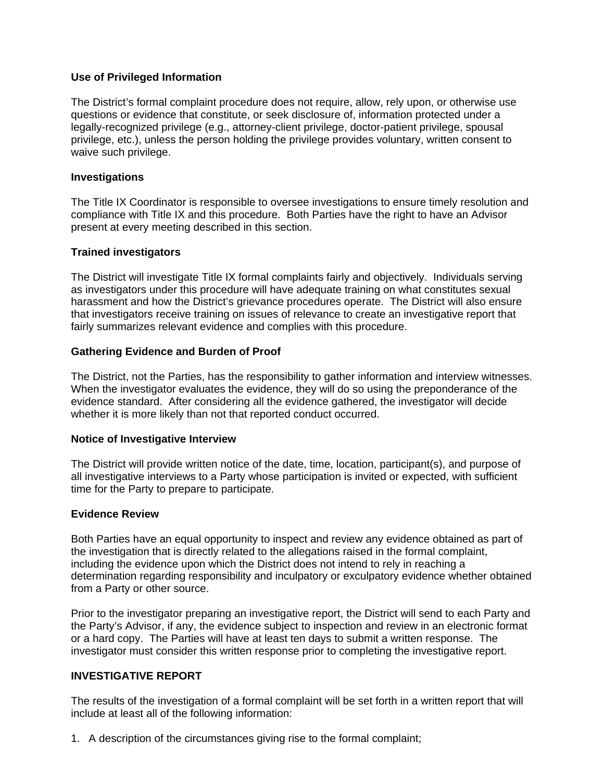## **Use of Privileged Information**

The District's formal complaint procedure does not require, allow, rely upon, or otherwise use questions or evidence that constitute, or seek disclosure of, information protected under a legally-recognized privilege (e.g., attorney-client privilege, doctor-patient privilege, spousal privilege, etc.), unless the person holding the privilege provides voluntary, written consent to waive such privilege.

#### **Investigations**

The Title IX Coordinator is responsible to oversee investigations to ensure timely resolution and compliance with Title IX and this procedure. Both Parties have the right to have an Advisor present at every meeting described in this section.

### **Trained investigators**

The District will investigate Title IX formal complaints fairly and objectively. Individuals serving as investigators under this procedure will have adequate training on what constitutes sexual harassment and how the District's grievance procedures operate. The District will also ensure that investigators receive training on issues of relevance to create an investigative report that fairly summarizes relevant evidence and complies with this procedure.

### **Gathering Evidence and Burden of Proof**

The District, not the Parties, has the responsibility to gather information and interview witnesses. When the investigator evaluates the evidence, they will do so using the preponderance of the evidence standard. After considering all the evidence gathered, the investigator will decide whether it is more likely than not that reported conduct occurred.

#### **Notice of Investigative Interview**

The District will provide written notice of the date, time, location, participant(s), and purpose of all investigative interviews to a Party whose participation is invited or expected, with sufficient time for the Party to prepare to participate.

#### **Evidence Review**

Both Parties have an equal opportunity to inspect and review any evidence obtained as part of the investigation that is directly related to the allegations raised in the formal complaint, including the evidence upon which the District does not intend to rely in reaching a determination regarding responsibility and inculpatory or exculpatory evidence whether obtained from a Party or other source.

Prior to the investigator preparing an investigative report, the District will send to each Party and the Party's Advisor, if any, the evidence subject to inspection and review in an electronic format or a hard copy. The Parties will have at least ten days to submit a written response. The investigator must consider this written response prior to completing the investigative report.

## **INVESTIGATIVE REPORT**

The results of the investigation of a formal complaint will be set forth in a written report that will include at least all of the following information:

1. A description of the circumstances giving rise to the formal complaint;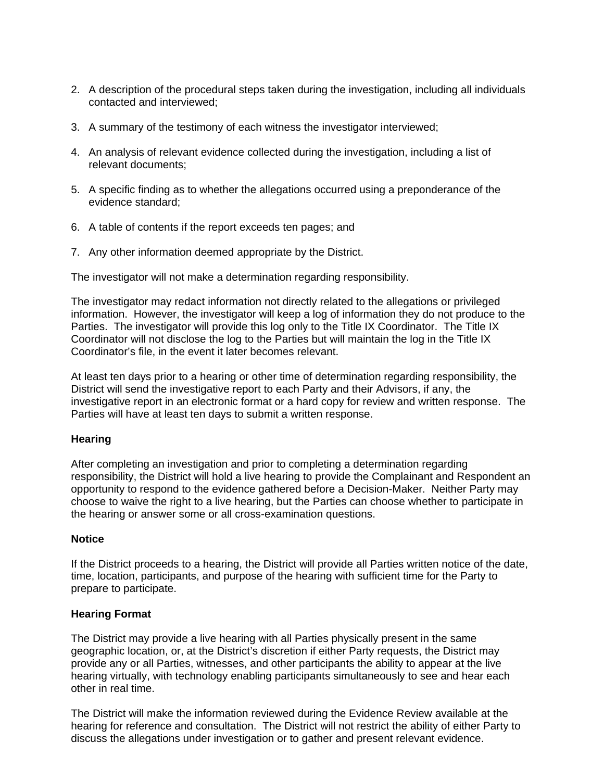- 2. A description of the procedural steps taken during the investigation, including all individuals contacted and interviewed;
- 3. A summary of the testimony of each witness the investigator interviewed;
- 4. An analysis of relevant evidence collected during the investigation, including a list of relevant documents;
- 5. A specific finding as to whether the allegations occurred using a preponderance of the evidence standard;
- 6. A table of contents if the report exceeds ten pages; and
- 7. Any other information deemed appropriate by the District.

The investigator will not make a determination regarding responsibility.

The investigator may redact information not directly related to the allegations or privileged information. However, the investigator will keep a log of information they do not produce to the Parties. The investigator will provide this log only to the Title IX Coordinator. The Title IX Coordinator will not disclose the log to the Parties but will maintain the log in the Title IX Coordinator's file, in the event it later becomes relevant.

At least ten days prior to a hearing or other time of determination regarding responsibility, the District will send the investigative report to each Party and their Advisors, if any, the investigative report in an electronic format or a hard copy for review and written response. The Parties will have at least ten days to submit a written response.

## **Hearing**

After completing an investigation and prior to completing a determination regarding responsibility, the District will hold a live hearing to provide the Complainant and Respondent an opportunity to respond to the evidence gathered before a Decision-Maker. Neither Party may choose to waive the right to a live hearing, but the Parties can choose whether to participate in the hearing or answer some or all cross-examination questions.

#### **Notice**

If the District proceeds to a hearing, the District will provide all Parties written notice of the date, time, location, participants, and purpose of the hearing with sufficient time for the Party to prepare to participate.

#### **Hearing Format**

The District may provide a live hearing with all Parties physically present in the same geographic location, or, at the District's discretion if either Party requests, the District may provide any or all Parties, witnesses, and other participants the ability to appear at the live hearing virtually, with technology enabling participants simultaneously to see and hear each other in real time.

The District will make the information reviewed during the Evidence Review available at the hearing for reference and consultation. The District will not restrict the ability of either Party to discuss the allegations under investigation or to gather and present relevant evidence.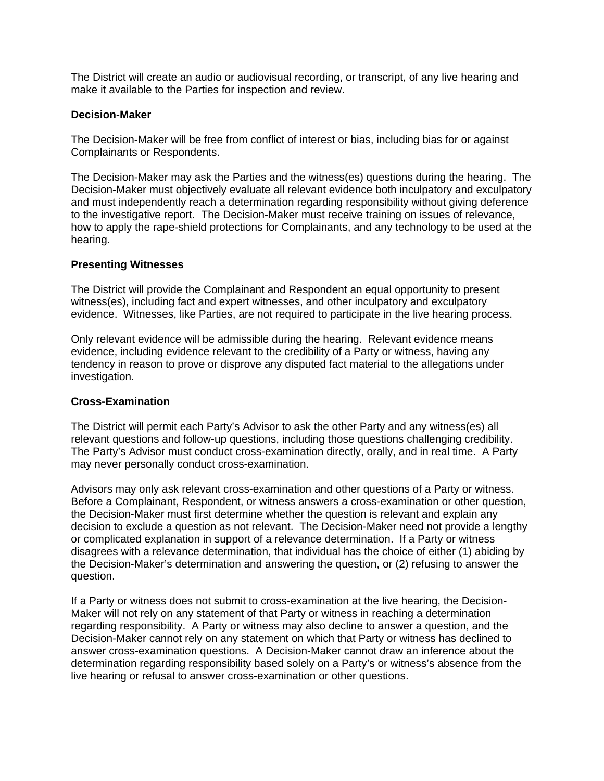The District will create an audio or audiovisual recording, or transcript, of any live hearing and make it available to the Parties for inspection and review.

#### **Decision-Maker**

The Decision-Maker will be free from conflict of interest or bias, including bias for or against Complainants or Respondents.

The Decision-Maker may ask the Parties and the witness(es) questions during the hearing. The Decision-Maker must objectively evaluate all relevant evidence both inculpatory and exculpatory and must independently reach a determination regarding responsibility without giving deference to the investigative report. The Decision-Maker must receive training on issues of relevance, how to apply the rape-shield protections for Complainants, and any technology to be used at the hearing.

### **Presenting Witnesses**

The District will provide the Complainant and Respondent an equal opportunity to present witness(es), including fact and expert witnesses, and other inculpatory and exculpatory evidence. Witnesses, like Parties, are not required to participate in the live hearing process.

Only relevant evidence will be admissible during the hearing. Relevant evidence means evidence, including evidence relevant to the credibility of a Party or witness, having any tendency in reason to prove or disprove any disputed fact material to the allegations under investigation.

## **Cross-Examination**

The District will permit each Party's Advisor to ask the other Party and any witness(es) all relevant questions and follow-up questions, including those questions challenging credibility. The Party's Advisor must conduct cross-examination directly, orally, and in real time. A Party may never personally conduct cross-examination.

Advisors may only ask relevant cross-examination and other questions of a Party or witness. Before a Complainant, Respondent, or witness answers a cross-examination or other question, the Decision-Maker must first determine whether the question is relevant and explain any decision to exclude a question as not relevant. The Decision-Maker need not provide a lengthy or complicated explanation in support of a relevance determination. If a Party or witness disagrees with a relevance determination, that individual has the choice of either (1) abiding by the Decision-Maker's determination and answering the question, or (2) refusing to answer the question.

If a Party or witness does not submit to cross-examination at the live hearing, the Decision-Maker will not rely on any statement of that Party or witness in reaching a determination regarding responsibility. A Party or witness may also decline to answer a question, and the Decision-Maker cannot rely on any statement on which that Party or witness has declined to answer cross-examination questions. A Decision-Maker cannot draw an inference about the determination regarding responsibility based solely on a Party's or witness's absence from the live hearing or refusal to answer cross-examination or other questions.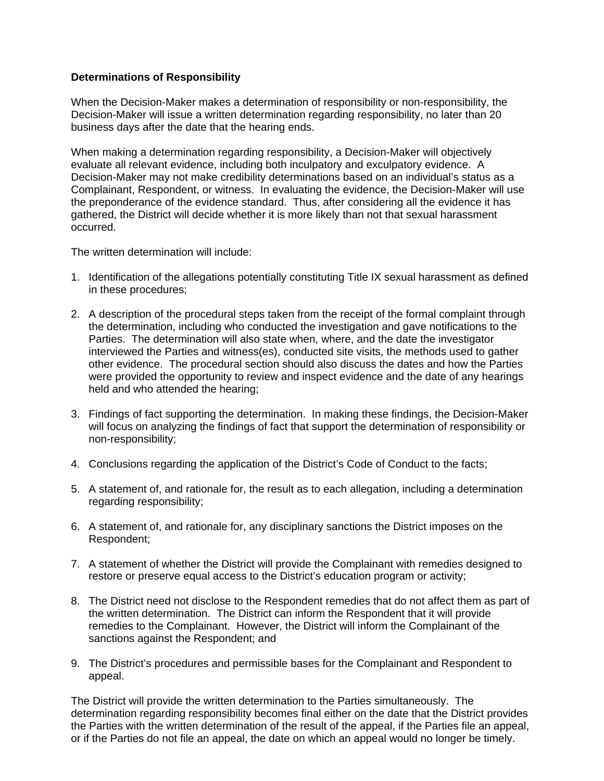## **Determinations of Responsibility**

When the Decision-Maker makes a determination of responsibility or non-responsibility, the Decision-Maker will issue a written determination regarding responsibility, no later than 20 business days after the date that the hearing ends.

When making a determination regarding responsibility, a Decision-Maker will objectively evaluate all relevant evidence, including both inculpatory and exculpatory evidence. A Decision-Maker may not make credibility determinations based on an individual's status as a Complainant, Respondent, or witness. In evaluating the evidence, the Decision-Maker will use the preponderance of the evidence standard. Thus, after considering all the evidence it has gathered, the District will decide whether it is more likely than not that sexual harassment occurred.

The written determination will include:

- 1. Identification of the allegations potentially constituting Title IX sexual harassment as defined in these procedures;
- 2. A description of the procedural steps taken from the receipt of the formal complaint through the determination, including who conducted the investigation and gave notifications to the Parties. The determination will also state when, where, and the date the investigator interviewed the Parties and witness(es), conducted site visits, the methods used to gather other evidence. The procedural section should also discuss the dates and how the Parties were provided the opportunity to review and inspect evidence and the date of any hearings held and who attended the hearing;
- 3. Findings of fact supporting the determination. In making these findings, the Decision-Maker will focus on analyzing the findings of fact that support the determination of responsibility or non-responsibility;
- 4. Conclusions regarding the application of the District's Code of Conduct to the facts;
- 5. A statement of, and rationale for, the result as to each allegation, including a determination regarding responsibility;
- 6. A statement of, and rationale for, any disciplinary sanctions the District imposes on the Respondent;
- 7. A statement of whether the District will provide the Complainant with remedies designed to restore or preserve equal access to the District's education program or activity;
- 8. The District need not disclose to the Respondent remedies that do not affect them as part of the written determination. The District can inform the Respondent that it will provide remedies to the Complainant. However, the District will inform the Complainant of the sanctions against the Respondent; and
- 9. The District's procedures and permissible bases for the Complainant and Respondent to appeal.

The District will provide the written determination to the Parties simultaneously. The determination regarding responsibility becomes final either on the date that the District provides the Parties with the written determination of the result of the appeal, if the Parties file an appeal, or if the Parties do not file an appeal, the date on which an appeal would no longer be timely.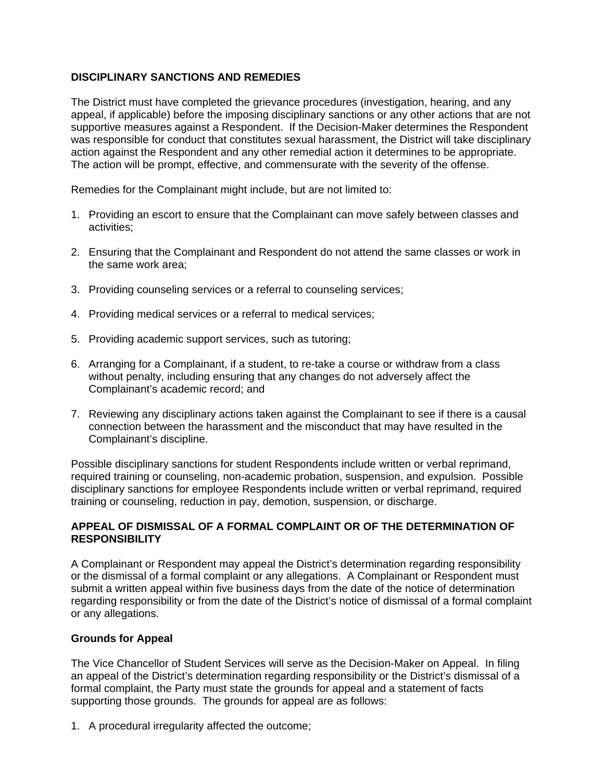# **DISCIPLINARY SANCTIONS AND REMEDIES**

The District must have completed the grievance procedures (investigation, hearing, and any appeal, if applicable) before the imposing disciplinary sanctions or any other actions that are not supportive measures against a Respondent. If the Decision-Maker determines the Respondent was responsible for conduct that constitutes sexual harassment, the District will take disciplinary action against the Respondent and any other remedial action it determines to be appropriate. The action will be prompt, effective, and commensurate with the severity of the offense.

Remedies for the Complainant might include, but are not limited to:

- 1. Providing an escort to ensure that the Complainant can move safely between classes and activities;
- 2. Ensuring that the Complainant and Respondent do not attend the same classes or work in the same work area;
- 3. Providing counseling services or a referral to counseling services;
- 4. Providing medical services or a referral to medical services;
- 5. Providing academic support services, such as tutoring;
- 6. Arranging for a Complainant, if a student, to re-take a course or withdraw from a class without penalty, including ensuring that any changes do not adversely affect the Complainant's academic record; and
- 7. Reviewing any disciplinary actions taken against the Complainant to see if there is a causal connection between the harassment and the misconduct that may have resulted in the Complainant's discipline.

Possible disciplinary sanctions for student Respondents include written or verbal reprimand, required training or counseling, non-academic probation, suspension, and expulsion. Possible disciplinary sanctions for employee Respondents include written or verbal reprimand, required training or counseling, reduction in pay, demotion, suspension, or discharge.

## **APPEAL OF DISMISSAL OF A FORMAL COMPLAINT OR OF THE DETERMINATION OF RESPONSIBILITY**

A Complainant or Respondent may appeal the District's determination regarding responsibility or the dismissal of a formal complaint or any allegations. A Complainant or Respondent must submit a written appeal within five business days from the date of the notice of determination regarding responsibility or from the date of the District's notice of dismissal of a formal complaint or any allegations.

## **Grounds for Appeal**

The Vice Chancellor of Student Services will serve as the Decision-Maker on Appeal. In filing an appeal of the District's determination regarding responsibility or the District's dismissal of a formal complaint, the Party must state the grounds for appeal and a statement of facts supporting those grounds. The grounds for appeal are as follows:

1. A procedural irregularity affected the outcome;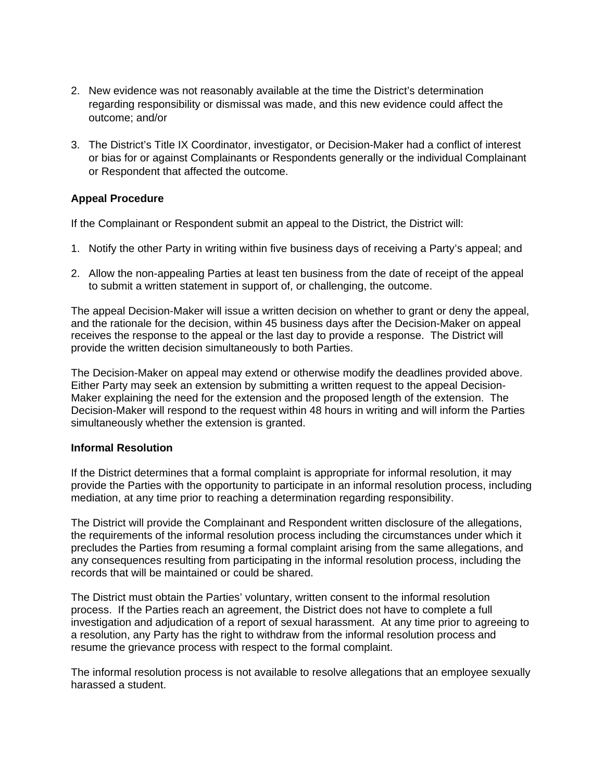- 2. New evidence was not reasonably available at the time the District's determination regarding responsibility or dismissal was made, and this new evidence could affect the outcome; and/or
- 3. The District's Title IX Coordinator, investigator, or Decision-Maker had a conflict of interest or bias for or against Complainants or Respondents generally or the individual Complainant or Respondent that affected the outcome.

## **Appeal Procedure**

If the Complainant or Respondent submit an appeal to the District, the District will:

- 1. Notify the other Party in writing within five business days of receiving a Party's appeal; and
- 2. Allow the non-appealing Parties at least ten business from the date of receipt of the appeal to submit a written statement in support of, or challenging, the outcome.

The appeal Decision-Maker will issue a written decision on whether to grant or deny the appeal, and the rationale for the decision, within 45 business days after the Decision-Maker on appeal receives the response to the appeal or the last day to provide a response. The District will provide the written decision simultaneously to both Parties.

The Decision-Maker on appeal may extend or otherwise modify the deadlines provided above. Either Party may seek an extension by submitting a written request to the appeal Decision-Maker explaining the need for the extension and the proposed length of the extension. The Decision-Maker will respond to the request within 48 hours in writing and will inform the Parties simultaneously whether the extension is granted.

#### **Informal Resolution**

If the District determines that a formal complaint is appropriate for informal resolution, it may provide the Parties with the opportunity to participate in an informal resolution process, including mediation, at any time prior to reaching a determination regarding responsibility.

The District will provide the Complainant and Respondent written disclosure of the allegations, the requirements of the informal resolution process including the circumstances under which it precludes the Parties from resuming a formal complaint arising from the same allegations, and any consequences resulting from participating in the informal resolution process, including the records that will be maintained or could be shared.

The District must obtain the Parties' voluntary, written consent to the informal resolution process. If the Parties reach an agreement, the District does not have to complete a full investigation and adjudication of a report of sexual harassment. At any time prior to agreeing to a resolution, any Party has the right to withdraw from the informal resolution process and resume the grievance process with respect to the formal complaint.

The informal resolution process is not available to resolve allegations that an employee sexually harassed a student.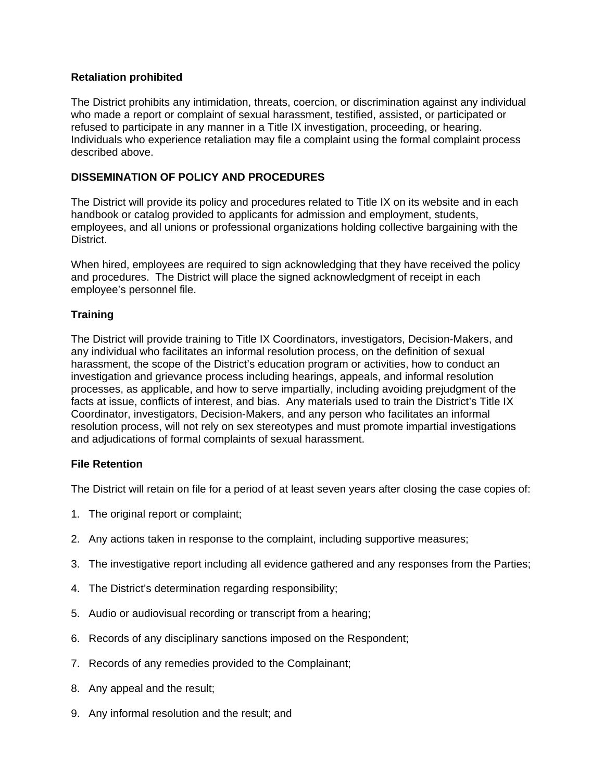## **Retaliation prohibited**

The District prohibits any intimidation, threats, coercion, or discrimination against any individual who made a report or complaint of sexual harassment, testified, assisted, or participated or refused to participate in any manner in a Title IX investigation, proceeding, or hearing. Individuals who experience retaliation may file a complaint using the formal complaint process described above.

## **DISSEMINATION OF POLICY AND PROCEDURES**

The District will provide its policy and procedures related to Title IX on its website and in each handbook or catalog provided to applicants for admission and employment, students, employees, and all unions or professional organizations holding collective bargaining with the District.

When hired, employees are required to sign acknowledging that they have received the policy and procedures. The District will place the signed acknowledgment of receipt in each employee's personnel file.

### **Training**

The District will provide training to Title IX Coordinators, investigators, Decision-Makers, and any individual who facilitates an informal resolution process, on the definition of sexual harassment, the scope of the District's education program or activities, how to conduct an investigation and grievance process including hearings, appeals, and informal resolution processes, as applicable, and how to serve impartially, including avoiding prejudgment of the facts at issue, conflicts of interest, and bias. Any materials used to train the District's Title IX Coordinator, investigators, Decision-Makers, and any person who facilitates an informal resolution process, will not rely on sex stereotypes and must promote impartial investigations and adjudications of formal complaints of sexual harassment.

## **File Retention**

The District will retain on file for a period of at least seven years after closing the case copies of:

- 1. The original report or complaint;
- 2. Any actions taken in response to the complaint, including supportive measures;
- 3. The investigative report including all evidence gathered and any responses from the Parties;
- 4. The District's determination regarding responsibility;
- 5. Audio or audiovisual recording or transcript from a hearing;
- 6. Records of any disciplinary sanctions imposed on the Respondent;
- 7. Records of any remedies provided to the Complainant;
- 8. Any appeal and the result;
- 9. Any informal resolution and the result; and